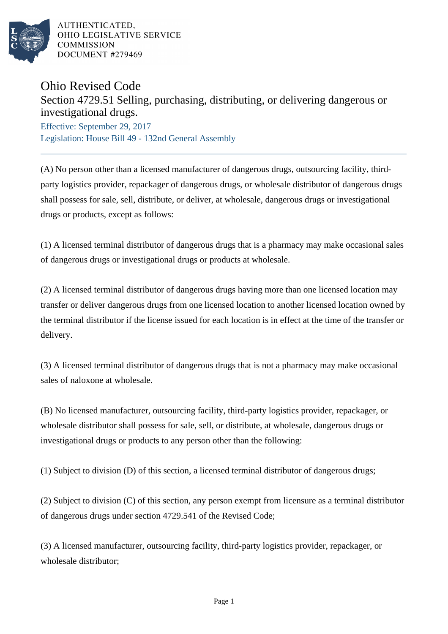

## Ohio Revised Code

## Section 4729.51 Selling, purchasing, distributing, or delivering dangerous or investigational drugs.

Effective: September 29, 2017 Legislation: House Bill 49 - 132nd General Assembly

(A) No person other than a licensed manufacturer of dangerous drugs, outsourcing facility, thirdparty logistics provider, repackager of dangerous drugs, or wholesale distributor of dangerous drugs shall possess for sale, sell, distribute, or deliver, at wholesale, dangerous drugs or investigational drugs or products, except as follows:

(1) A licensed terminal distributor of dangerous drugs that is a pharmacy may make occasional sales of dangerous drugs or investigational drugs or products at wholesale.

(2) A licensed terminal distributor of dangerous drugs having more than one licensed location may transfer or deliver dangerous drugs from one licensed location to another licensed location owned by the terminal distributor if the license issued for each location is in effect at the time of the transfer or delivery.

(3) A licensed terminal distributor of dangerous drugs that is not a pharmacy may make occasional sales of naloxone at wholesale.

(B) No licensed manufacturer, outsourcing facility, third-party logistics provider, repackager, or wholesale distributor shall possess for sale, sell, or distribute, at wholesale, dangerous drugs or investigational drugs or products to any person other than the following:

(1) Subject to division (D) of this section, a licensed terminal distributor of dangerous drugs;

(2) Subject to division (C) of this section, any person exempt from licensure as a terminal distributor of dangerous drugs under section 4729.541 of the Revised Code;

(3) A licensed manufacturer, outsourcing facility, third-party logistics provider, repackager, or wholesale distributor;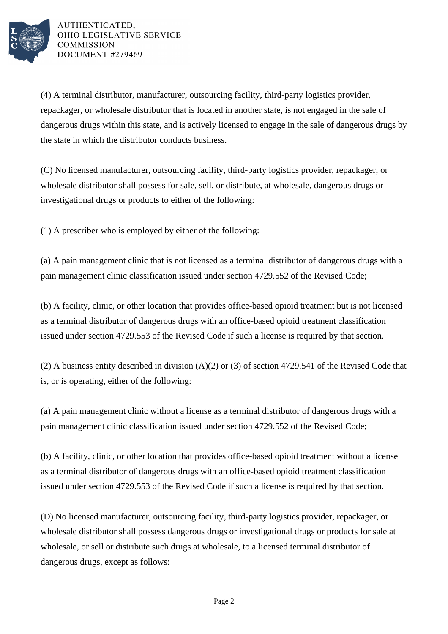

(4) A terminal distributor, manufacturer, outsourcing facility, third-party logistics provider, repackager, or wholesale distributor that is located in another state, is not engaged in the sale of dangerous drugs within this state, and is actively licensed to engage in the sale of dangerous drugs by the state in which the distributor conducts business.

(C) No licensed manufacturer, outsourcing facility, third-party logistics provider, repackager, or wholesale distributor shall possess for sale, sell, or distribute, at wholesale, dangerous drugs or investigational drugs or products to either of the following:

(1) A prescriber who is employed by either of the following:

(a) A pain management clinic that is not licensed as a terminal distributor of dangerous drugs with a pain management clinic classification issued under section 4729.552 of the Revised Code;

(b) A facility, clinic, or other location that provides office-based opioid treatment but is not licensed as a terminal distributor of dangerous drugs with an office-based opioid treatment classification issued under section 4729.553 of the Revised Code if such a license is required by that section.

(2) A business entity described in division (A)(2) or (3) of section 4729.541 of the Revised Code that is, or is operating, either of the following:

(a) A pain management clinic without a license as a terminal distributor of dangerous drugs with a pain management clinic classification issued under section 4729.552 of the Revised Code;

(b) A facility, clinic, or other location that provides office-based opioid treatment without a license as a terminal distributor of dangerous drugs with an office-based opioid treatment classification issued under section 4729.553 of the Revised Code if such a license is required by that section.

(D) No licensed manufacturer, outsourcing facility, third-party logistics provider, repackager, or wholesale distributor shall possess dangerous drugs or investigational drugs or products for sale at wholesale, or sell or distribute such drugs at wholesale, to a licensed terminal distributor of dangerous drugs, except as follows: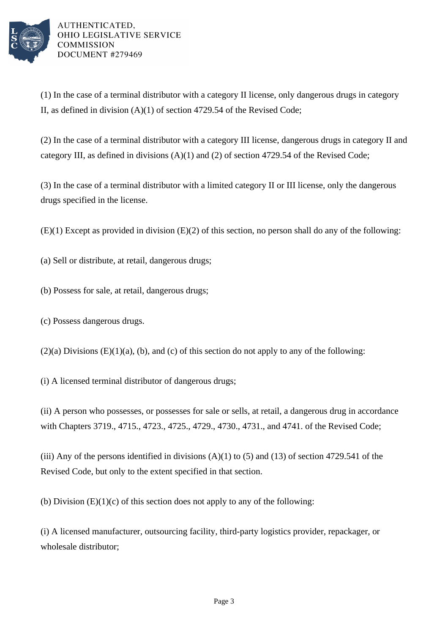

(1) In the case of a terminal distributor with a category II license, only dangerous drugs in category II, as defined in division (A)(1) of section 4729.54 of the Revised Code;

(2) In the case of a terminal distributor with a category III license, dangerous drugs in category II and category III, as defined in divisions (A)(1) and (2) of section 4729.54 of the Revised Code;

(3) In the case of a terminal distributor with a limited category II or III license, only the dangerous drugs specified in the license.

(E)(1) Except as provided in division (E)(2) of this section, no person shall do any of the following:

(a) Sell or distribute, at retail, dangerous drugs;

- (b) Possess for sale, at retail, dangerous drugs;
- (c) Possess dangerous drugs.

 $(2)(a)$  Divisions  $(E)(1)(a)$ ,  $(b)$ , and  $(c)$  of this section do not apply to any of the following:

(i) A licensed terminal distributor of dangerous drugs;

(ii) A person who possesses, or possesses for sale or sells, at retail, a dangerous drug in accordance with Chapters 3719., 4715., 4723., 4725., 4729., 4730., 4731., and 4741. of the Revised Code;

(iii) Any of the persons identified in divisions  $(A)(1)$  to  $(5)$  and  $(13)$  of section 4729.541 of the Revised Code, but only to the extent specified in that section.

(b) Division  $(E)(1)(c)$  of this section does not apply to any of the following:

(i) A licensed manufacturer, outsourcing facility, third-party logistics provider, repackager, or wholesale distributor;